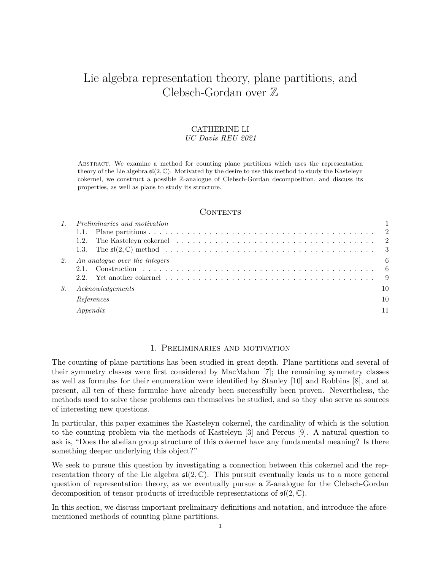# Lie algebra representation theory, plane partitions, and Clebsch-Gordan over Z

#### CATHERINE LI *UC Davis REU 2021*

Abstract. We examine a method for counting plane partitions which uses the representation theory of the Lie algebra  $\mathfrak{sl}(2,\mathbb{C})$ . Motivated by the desire to use this method to study the Kasteleyn cokernel, we construct a possible Z-analogue of Clebsch-Gordan decomposition, and discuss its properties, as well as plans to study its structure.

# CONTENTS

|    | <i>Preliminaries and motivation</i>                                                                                                                |    |  |  |  |
|----|----------------------------------------------------------------------------------------------------------------------------------------------------|----|--|--|--|
|    |                                                                                                                                                    |    |  |  |  |
|    |                                                                                                                                                    |    |  |  |  |
|    |                                                                                                                                                    |    |  |  |  |
| 2. | An analogue over the integers                                                                                                                      | 6  |  |  |  |
|    |                                                                                                                                                    |    |  |  |  |
|    | 2.2. Yet another cokernel $\ldots$ , $\ldots$ , $\ldots$ , $\ldots$ , $\ldots$ , $\ldots$ , $\ldots$ , $\ldots$ , $\ldots$ , $\ldots$ , $\qquad 9$ |    |  |  |  |
| 3. | Acknowledgements                                                                                                                                   | 10 |  |  |  |
|    | References                                                                                                                                         | 10 |  |  |  |
|    | Appendix                                                                                                                                           |    |  |  |  |
|    |                                                                                                                                                    |    |  |  |  |

## 1. Preliminaries and motivation

The counting of plane partitions has been studied in great depth. Plane partitions and several of their symmetry classes were first considered by MacMahon [7]; the remaining symmetry classes as well as formulas for their enumeration were identified by Stanley [10] and Robbins [8], and at present, all ten of these formulae have already been successfully been proven. Nevertheless, the methods used to solve these problems can themselves be studied, and so they also serve as sources of interesting new questions.

In particular, this paper examines the Kasteleyn cokernel, the cardinality of which is the solution to the counting problem via the methods of Kasteleyn [3] and Percus [9]. A natural question to ask is, "Does the abelian group structure of this cokernel have any fundamental meaning? Is there something deeper underlying this object?"

We seek to pursue this question by investigating a connection between this cokernel and the representation theory of the Lie algebra  $\mathfrak{sl}(2,\mathbb{C})$ . This pursuit eventually leads us to a more general question of representation theory, as we eventually pursue a  $\mathbb{Z}$ -analogue for the Clebsch-Gordan decomposition of tensor products of irreducible representations of sl(2*,* C).

In this section, we discuss important preliminary definitions and notation, and introduce the aforementioned methods of counting plane partitions.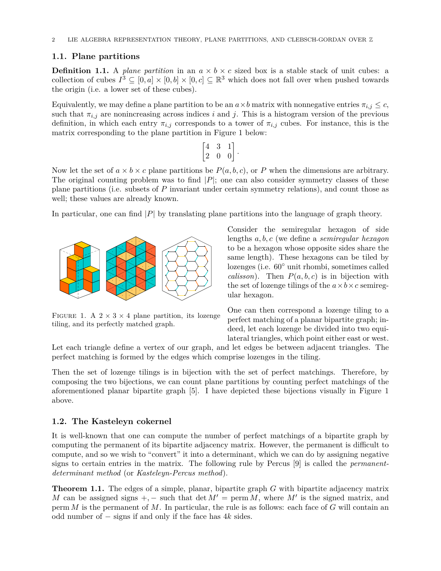# **1.1. Plane partitions**

**Definition 1.1.** A *plane partition* in an  $a \times b \times c$  sized box is a stable stack of unit cubes: a collection of cubes  $I^3 \subseteq [0, a] \times [0, b] \times [0, c] \subseteq \mathbb{R}^3$  which does not fall over when pushed towards the origin (i.e. a lower set of these cubes).

Equivalently, we may define a plane partition to be an  $a \times b$  matrix with nonnegative entries  $\pi_{i,j} \leq c$ , such that  $\pi_{i,j}$  are nonincreasing across indices *i* and *j*. This is a histogram version of the previous definition, in which each entry  $\pi_{i,j}$  corresponds to a tower of  $\pi_{i,j}$  cubes. For instance, this is the matrix corresponding to the plane partition in Figure 1 below:

$$
\begin{bmatrix} 4 & 3 & 1 \\ 2 & 0 & 0 \end{bmatrix}.
$$

Now let the set of  $a \times b \times c$  plane partitions be  $P(a, b, c)$ , or P when the dimensions are arbitrary. The original counting problem was to find *|P|*; one can also consider symmetry classes of these plane partitions (i.e. subsets of *P* invariant under certain symmetry relations), and count those as well; these values are already known.

In particular, one can find *|P|* by translating plane partitions into the language of graph theory.



FIGURE 1. A  $2 \times 3 \times 4$  plane partition, its lozenge tiling, and its perfectly matched graph.

Consider the semiregular hexagon of side lengths *a, b, c* (we define a *semiregular hexagon* to be a hexagon whose opposite sides share the same length). These hexagons can be tiled by lozenges (i.e. 60*◦* unit rhombi, sometimes called *calisson*). Then  $P(a, b, c)$  is in bijection with the set of lozenge tilings of the  $a \times b \times c$  semiregular hexagon.

One can then correspond a lozenge tiling to a perfect matching of a planar bipartite graph; indeed, let each lozenge be divided into two equilateral triangles, which point either east or west.

Let each triangle define a vertex of our graph, and let edges be between adjacent triangles. The perfect matching is formed by the edges which comprise lozenges in the tiling.

Then the set of lozenge tilings is in bijection with the set of perfect matchings. Therefore, by composing the two bijections, we can count plane partitions by counting perfect matchings of the aforementioned planar bipartite graph [5]. I have depicted these bijections visually in Figure 1 above.

# **1.2. The Kasteleyn cokernel**

It is well-known that one can compute the number of perfect matchings of a bipartite graph by computing the permanent of its bipartite adjacency matrix. However, the permanent is difficult to compute, and so we wish to "convert" it into a determinant, which we can do by assigning negative signs to certain entries in the matrix. The following rule by Percus [9] is called the *permanentdeterminant method* (or *Kasteleyn-Percus method*).

**Theorem 1.1.** The edges of a simple, planar, bipartite graph *G* with bipartite adjacency matrix *M* can be assigned signs  $+$ ,  $-$  such that det  $M' = \text{perm } M$ , where  $M'$  is the signed matrix, and perm *M* is the permanent of *M*. In particular, the rule is as follows: each face of *G* will contain an odd number of *−* signs if and only if the face has 4*k* sides.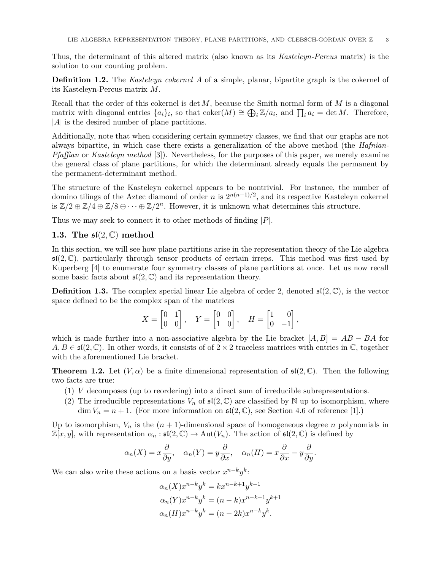Thus, the determinant of this altered matrix (also known as its *Kasteleyn-Percus* matrix) is the solution to our counting problem.

**Definition 1.2.** The *Kasteleyn cokernel A* of a simple, planar, bipartite graph is the cokernel of its Kasteleyn-Percus matrix *M*.

Recall that the order of this cokernel is det *M*, because the Smith normal form of *M* is a diagonal matrix with diagonal entries  $\{a_i\}_i$ , so that coker $(M) \cong \bigoplus_i \mathbb{Z}/a_i$ , and  $\prod_i a_i = \det M$ . Therefore, *|A|* is the desired number of plane partitions.

Additionally, note that when considering certain symmetry classes, we find that our graphs are not always bipartite, in which case there exists a generalization of the above method (the *Hafnian-Pfaffian* or *Kasteleyn method* [3]). Nevertheless, for the purposes of this paper, we merely examine the general class of plane partitions, for which the determinant already equals the permanent by the permanent-determinant method.

The structure of the Kasteleyn cokernel appears to be nontrivial. For instance, the number of domino tilings of the Aztec diamond of order *n* is  $2^{n(n+1)/2}$ , and its respective Kasteleyn cokernel is  $\mathbb{Z}/2 \oplus \mathbb{Z}/4 \oplus \mathbb{Z}/8 \oplus \cdots \oplus \mathbb{Z}/2^n$ . However, it is unknown what determines this structure.

Thus we may seek to connect it to other methods of finding *|P|*.

# **1.3. The** sl(2*,* C) **method**

In this section, we will see how plane partitions arise in the representation theory of the Lie algebra  $\mathfrak{sl}(2,\mathbb{C})$ , particularly through tensor products of certain irreps. This method was first used by Kuperberg [4] to enumerate four symmetry classes of plane partitions at once. Let us now recall some basic facts about  $\mathfrak{sl}(2,\mathbb{C})$  and its representation theory.

**Definition 1.3.** The complex special linear Lie algebra of order 2, denoted  $\mathfrak{sl}(2,\mathbb{C})$ , is the vector space defined to be the complex span of the matrices

$$
X=\begin{bmatrix}0&1\\0&0\end{bmatrix},\quad Y=\begin{bmatrix}0&0\\1&0\end{bmatrix},\quad H=\begin{bmatrix}1&0\\0&-1\end{bmatrix},
$$

which is made further into a non-associative algebra by the Lie bracket  $[A, B] = AB - BA$  for  $A, B \in \mathfrak{sl}(2, \mathbb{C})$ . In other words, it consists of of  $2 \times 2$  traceless matrices with entries in  $\mathbb{C}$ , together with the aforementioned Lie bracket.

**Theorem 1.2.** Let  $(V, \alpha)$  be a finite dimensional representation of  $\mathfrak{sl}(2,\mathbb{C})$ . Then the following two facts are true:

- (1) *V* decomposes (up to reordering) into a direct sum of irreducible subrepresentations.
- (2) The irreducible representations  $V_n$  of  $\mathfrak{sl}(2,\mathbb{C})$  are classified by N up to isomorphism, where  $\dim V_n = n + 1$ . (For more information on  $\mathfrak{sl}(2,\mathbb{C})$ , see Section 4.6 of reference [1].)

Up to isomorphism,  $V_n$  is the  $(n + 1)$ -dimensional space of homogeneous degree *n* polynomials in  $\mathbb{Z}[x, y]$ , with representation  $\alpha_n : \mathfrak{sl}(2, \mathbb{C}) \to \mathrm{Aut}(V_n)$ . The action of  $\mathfrak{sl}(2, \mathbb{C})$  is defined by

$$
\alpha_n(X) = x \frac{\partial}{\partial y}, \quad \alpha_n(Y) = y \frac{\partial}{\partial x}, \quad \alpha_n(H) = x \frac{\partial}{\partial x} - y \frac{\partial}{\partial y}.
$$

We can also write these actions on a basis vector  $x^{n-k}y^k$ :

$$
\alpha_n(X)x^{n-k}y^k = kx^{n-k+1}y^{k-1}
$$
  
\n
$$
\alpha_n(Y)x^{n-k}y^k = (n-k)x^{n-k-1}y^{k+1}
$$
  
\n
$$
\alpha_n(H)x^{n-k}y^k = (n-2k)x^{n-k}y^k.
$$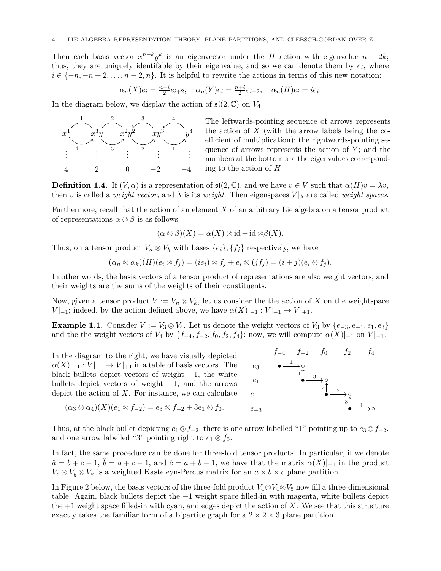Then each basis vector  $x^{n-k}y^k$  is an eigenvector under the *H* action with eigenvalue  $n-2k$ ; thus, they are uniquely identifable by their eigenvalue, and so we can denote them by  $e_i$ , where  $i \in \{-n, -n+2, \ldots, n-2, n\}$ . It is helpful to rewrite the actions in terms of this new notation:

$$
\alpha_n(X)e_i = \frac{n-i}{2}e_{i+2}, \quad \alpha_n(Y)e_i = \frac{n+i}{2}e_{i-2}, \quad \alpha_n(H)e_i = ie_i.
$$

In the diagram below, we display the action of  $\mathfrak{sl}(2,\mathbb{C})$  on  $V_4$ .



The leftwards-pointing sequence of arrows represents the action of *X* (with the arrow labels being the coefficient of multiplication); the rightwards-pointing sequence of arrows represents the action of *Y* ; and the numbers at the bottom are the eigenvalues corresponding to the action of *H*.

**Definition 1.4.** If  $(V, \alpha)$  is a representation of  $\mathfrak{sl}(2, \mathbb{C})$ , and we have  $v \in V$  such that  $\alpha(H)v = \lambda v$ , then *v* is called a *weight vector*, and  $\lambda$  is its *weight*. Then eigenspaces  $V|_{\lambda}$  are called *weight spaces*.

Furthermore, recall that the action of an element *X* of an arbitrary Lie algebra on a tensor product of representations  $\alpha \otimes \beta$  is as follows:

$$
(\alpha \otimes \beta)(X) = \alpha(X) \otimes \mathrm{id} + \mathrm{id} \otimes \beta(X).
$$

Thus, on a tensor product  $V_n \otimes V_k$  with bases  $\{e_i\}$ ,  $\{f_i\}$  respectively, we have

$$
(\alpha_n \otimes \alpha_k)(H)(e_i \otimes f_j) = (ie_i) \otimes f_j + e_i \otimes (jf_j) = (i + j)(e_i \otimes f_j).
$$

In other words, the basis vectors of a tensor product of representations are also weight vectors, and their weights are the sums of the weights of their constituents.

Now, given a tensor product  $V := V_n \otimes V_k$ , let us consider the the action of X on the weightspace *V*  $|I_{-1}$ ; indeed, by the action defined above, we have  $\alpha(X)|_{-1} : V|_{-1} \to V|_{+1}$ .

**Example 1.1.** Consider  $V := V_3 \otimes V_4$ . Let us denote the weight vectors of  $V_3$  by  $\{e_{-3}, e_{-1}, e_1, e_3\}$ and the the weight vectors of *V*<sub>4</sub> by  $\{f_{-4}, f_{-2}, f_0, f_2, f_4\}$ ; now, we will compute  $\alpha(X)|_{-1}$  on  $V|_{-1}$ .

In the diagram to the right, we have visually depicted  $\alpha(X)|_{-1} : V|_{-1} \to V|_{+1}$  in a table of basis vectors. The black bullets depict vectors of weight *−*1, the white bullets depict vectors of weight  $+1$ , and the arrows depict the action of *X*. For instance, we can calculate

 $(\alpha_3 \otimes \alpha_4)(X)(e_1 \otimes f_{-2}) = e_3 \otimes f_{-2} + 3e_1 \otimes f_0.$ 



Thus, at the black bullet depicting  $e_1 \otimes f_{-2}$ , there is one arrow labelled "1" pointing up to  $e_3 \otimes f_{-2}$ , and one arrow labelled "3" pointing right to  $e_1 \otimes f_0$ .

In fact, the same procedure can be done for three-fold tensor products. In particular, if we denote  $\hat{a} = b + c - 1$ ,  $\hat{b} = a + c - 1$ , and  $\hat{c} = a + b - 1$ , we have that the matrix  $\alpha(X)|_{-1}$  in the product *V*<sup> $>c$ </sup> ⊗ *V*<sup> $>$ </sup>  $V$ <sup> $>$ </sup>  $\alpha$ <sup>*i*</sup> is a weighted Kasteleyn-Percus matrix for an *a* × *b* × *c* plane partition.

In Figure 2 below, the basis vectors of the three-fold product  $V_4 \otimes V_4 \otimes V_5$  now fill a three-dimensional table. Again, black bullets depict the *−*1 weight space filled-in with magenta, white bullets depict the  $+1$  weight space filled-in with cyan, and edges depict the action of X. We see that this structure exactly takes the familiar form of a bipartite graph for a  $2 \times 2 \times 3$  plane partition.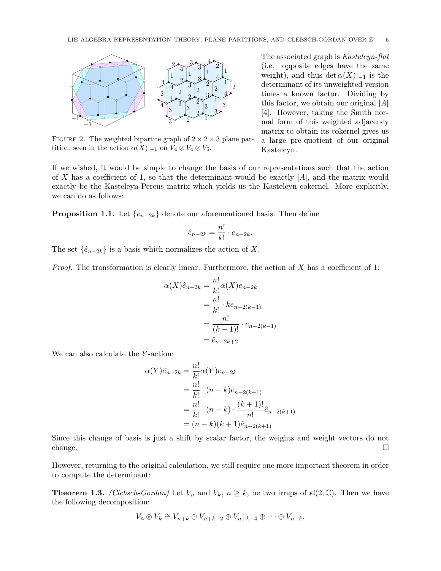

FIGURE 2. The weighted bipartite graph of  $2 \times 2 \times 3$  plane partition, seen in the action  $\alpha(X)|_{-1}$  on  $V_4 \otimes V_4 \otimes V_5$ .

The associated graph is *Kasteleyn-flat* (i.e. opposite edges have the same weight), and thus det  $\alpha(X)|_{-1}$  is the determinant of its unweighted version times a known factor. Dividing by this factor, we obtain our original *|A|* [4]. However, taking the Smith normal form of this weighted adjacency matrix to obtain its cokernel gives us a large pre-quotient of our original Kasteleyn.

If we wished, it would be simple to change the basis of our representations such that the action of *X* has a coefficient of 1, so that the determinant would be exactly *|A|*, and the matrix would exactly be the Kasteleyn-Percus matrix which yields us the Kasteleyn cokernel. More explicitly, we can do as follows:

**Proposition 1.1.** Let  $\{e_{n-2k}\}\$  denote our aforementioned basis. Then define

$$
\hat{e}_{n-2k} = \frac{n!}{k!} \cdot e_{n-2k}.
$$

The set  $\{\hat{e}_{n-2k}\}\)$  is a basis which normalizes the action of *X*.

*Proof.* The transformation is clearly linear. Furthermore, the action of *X* has a coefficient of 1:

$$
\alpha(X)\hat{e}_{n-2k} = \frac{n!}{k!} \alpha(X)e_{n-2k}
$$
  
=  $\frac{n!}{k!} \cdot ke_{n-2(k-1)}$   
=  $\frac{n!}{(k-1)!} \cdot e_{n-2(k-1)}$   
=  $\hat{e}_{n-2k+2}$ 

We can also calculate the *Y* -action:

$$
\alpha(Y)\hat{e}_{n-2k} = \frac{n!}{k!} \alpha(Y)e_{n-2k}
$$
  
=  $\frac{n!}{k!} \cdot (n-k)e_{n-2(k+1)}$   
=  $\frac{n!}{k!} \cdot (n-k) \cdot \frac{(k+1)!}{n!} \hat{e}_{n-2(k+1)}$   
=  $(n-k)(k+1)\hat{e}_{n-2(k+1)}$ 

Since this change of basis is just a shift by scalar factor, the weights and weight vectors do not change.  $\Box$ 

However, returning to the original calculation, we still require one more important theorem in order to compute the determinant:

**Theorem 1.3.** *(Clebsch-Gordan)* Let  $V_n$  and  $V_k$ ,  $n \geq k$ , be two irreps of  $\mathfrak{sl}(2,\mathbb{C})$ . Then we have the following decomposition:

$$
V_n \otimes V_k \cong V_{n+k} \oplus V_{n+k-2} \oplus V_{n+k-4} \oplus \cdots \oplus V_{n-k}.
$$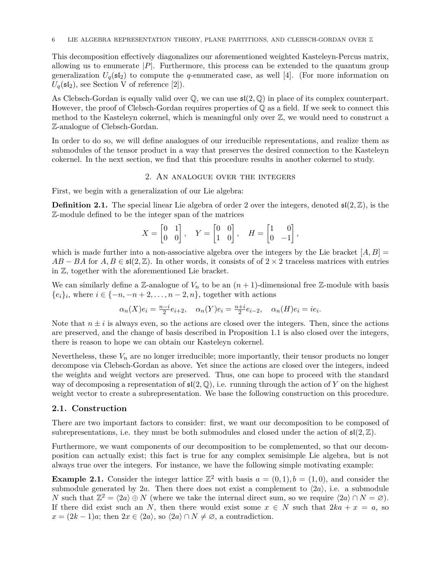This decomposition effectively diagonalizes our aforementioned weighted Kasteleyn-Percus matrix, allowing us to enumerate  $|P|$ . Furthermore, this process can be extended to the quantum group generalization  $U_q(\mathfrak{sl}_2)$  to compute the *q*-enumerated case, as well [4]. (For more information on  $U_q(\mathfrak{sl}_2)$ , see Section V of reference [2]).

As Clebsch-Gordan is equally valid over  $\mathbb Q$ , we can use  $\mathfrak{sl}(2,\mathbb Q)$  in place of its complex counterpart. However, the proof of Clebsch-Gordan requires properties of  $\mathbb Q$  as a field. If we seek to connect this method to the Kasteleyn cokernel, which is meaningful only over  $\mathbb{Z}$ , we would need to construct a Z-analogue of Clebsch-Gordan.

In order to do so, we will define analogues of our irreducible representations, and realize them as submodules of the tensor product in a way that preserves the desired connection to the Kasteleyn cokernel. In the next section, we find that this procedure results in another cokernel to study.

#### 2. An analogue over the integers

First, we begin with a generalization of our Lie algebra:

**Definition 2.1.** The special linear Lie algebra of order 2 over the integers, denoted  $\mathfrak{sl}(2,\mathbb{Z})$ , is the Z-module defined to be the integer span of the matrices

$$
X=\begin{bmatrix}0&1\\0&0\end{bmatrix},\quad Y=\begin{bmatrix}0&0\\1&0\end{bmatrix},\quad H=\begin{bmatrix}1&0\\0&-1\end{bmatrix},
$$

which is made further into a non-associative algebra over the integers by the Lie bracket  $[A, B] =$  $AB - BA$  for  $A, B \in \mathfrak{sl}(2, \mathbb{Z})$ . In other words, it consists of of  $2 \times 2$  traceless matrices with entries in Z, together with the aforementioned Lie bracket.

We can similarly define a Z-analogue of  $V_n$  to be an  $(n + 1)$ -dimensional free Z-module with basis *{ei}<sup>i</sup>* , where *i ∈ {−n, −n* + 2*, . . . , n −* 2*, n}*, together with actions

$$
\alpha_n(X)e_i=\tfrac{n-i}{2}e_{i+2},\quad \alpha_n(Y)e_i=\tfrac{n+i}{2}e_{i-2},\quad \alpha_n(H)e_i=ie_i.
$$

Note that  $n \pm i$  is always even, so the actions are closed over the integers. Then, since the actions are preserved, and the change of basis described in Proposition 1.1 is also closed over the integers, there is reason to hope we can obtain our Kasteleyn cokernel.

Nevertheless, these  $V_n$  are no longer irreducible; more importantly, their tensor products no longer decompose via Clebsch-Gordan as above. Yet since the actions are closed over the integers, indeed the weights and weight vectors are preserved. Thus, one can hope to proceed with the standard way of decomposing a representation of  $\mathfrak{sl}(2,\mathbb{Q})$ , i.e. running through the action of *Y* on the highest weight vector to create a subrepresentation. We base the following construction on this procedure.

#### **2.1. Construction**

There are two important factors to consider: first, we want our decomposition to be composed of subrepresentations, i.e. they must be both submodules and closed under the action of  $\mathfrak{sl}(2,\mathbb{Z})$ .

Furthermore, we want components of our decomposition to be complemented, so that our decomposition can actually exist; this fact is true for any complex semisimple Lie algebra, but is not always true over the integers. For instance, we have the following simple motivating example:

**Example 2.1.** Consider the integer lattice  $\mathbb{Z}^2$  with basis  $a = (0, 1), b = (1, 0)$ , and consider the submodule generated by 2*a*. Then there does not exist a complement to  $\langle 2a \rangle$ , i.e. a submodule *N* such that  $\mathbb{Z}^2 = \langle 2a \rangle \oplus N$  (where we take the internal direct sum, so we require  $\langle 2a \rangle \cap N = \emptyset$ ). If there did exist such an *N*, then there would exist some  $x \in N$  such that  $2ka + x = a$ , so  $x = (2k - 1)a$ ; then  $2x \in (2a)$ , so  $\langle 2a \rangle \cap N \neq \emptyset$ , a contradiction.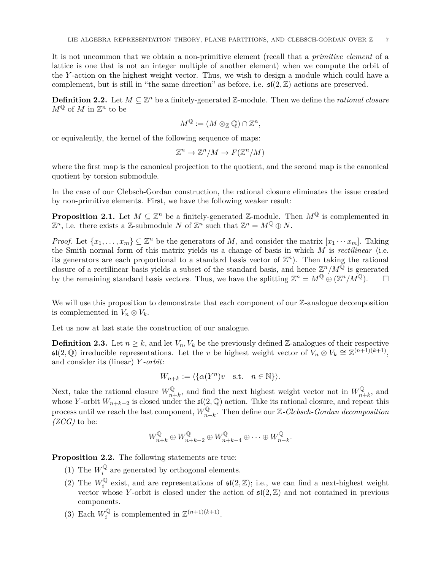It is not uncommon that we obtain a non-primitive element (recall that a *primitive element* of a lattice is one that is not an integer multiple of another element) when we compute the orbit of the *Y* -action on the highest weight vector. Thus, we wish to design a module which could have a complement, but is still in "the same direction" as before, i.e.  $\mathfrak{sl}(2,\mathbb{Z})$  actions are preserved.

**Definition 2.2.** Let  $M \subseteq \mathbb{Z}^n$  be a finitely-generated  $\mathbb{Z}$ -module. Then we define the *rational closure*  $M^{\mathbb{Q}}$  of *M* in  $\mathbb{Z}^n$  to be

$$
M^{\mathbb{Q}}:=(M\otimes_{\mathbb{Z}}\mathbb{Q})\cap \mathbb{Z}^n,
$$

or equivalently, the kernel of the following sequence of maps:

$$
\mathbb{Z}^n \to \mathbb{Z}^n/M \to F(\mathbb{Z}^n/M)
$$

where the first map is the canonical projection to the quotient, and the second map is the canonical quotient by torsion submodule.

In the case of our Clebsch-Gordan construction, the rational closure eliminates the issue created by non-primitive elements. First, we have the following weaker result:

**Proposition 2.1.** Let  $M \subseteq \mathbb{Z}^n$  be a finitely-generated  $\mathbb{Z}$ -module. Then  $M^{\mathbb{Q}}$  is complemented in  $\mathbb{Z}^n$ , i.e. there exists a  $\mathbb{Z}$ -submodule *N* of  $\mathbb{Z}^n$  such that  $\mathbb{Z}^n = M^{\mathbb{Q}} \oplus N$ .

*Proof.* Let  $\{x_1, \ldots, x_m\} \subseteq \mathbb{Z}^n$  be the generators of *M*, and consider the matrix  $[x_1 \cdots x_m]$ . Taking the Smith normal form of this matrix yields us a change of basis in which *M* is *rectilinear* (i.e. its generators are each proportional to a standard basis vector of  $\mathbb{Z}^n$ ). Then taking the rational closure of a rectilinear basis yields a subset of the standard basis, and hence  $\mathbb{Z}^n/M^{\mathbb{Q}}$  is generated by the remaining standard basis vectors. Thus, we have the splitting  $\mathbb{Z}^n = M^{\mathbb{Q}} \oplus (\mathbb{Z}^n / M^{\mathbb{Q}})$ .  $\Box$ 

We will use this proposition to demonstrate that each component of our  $\mathbb{Z}$ -analogue decomposition is complemented in  $V_n \otimes V_k$ .

Let us now at last state the construction of our analogue.

**Definition 2.3.** Let  $n \geq k$ , and let  $V_n$ ,  $V_k$  be the previously defined Z-analogues of their respective  $\mathfrak{sl}(2,\mathbb{Q})$  irreducible representations. Let the *v* be highest weight vector of  $V_n \otimes V_k \cong \mathbb{Z}^{(n+1)(k+1)}$ , and consider its (linear) *Y -orbit*:

$$
W_{n+k} := \langle \{ \alpha(Y^n)v \quad \text{s.t.} \quad n \in \mathbb{N} \} \rangle.
$$

Next, take the rational closure  $W_{n+k}^{\mathbb{Q}}$ , and find the next highest weight vector not in  $W_{n+k}^{\mathbb{Q}}$ , and whose *Y*-orbit  $W_{n+k-2}$  is closed under the  $\mathfrak{sl}(2,\mathbb{Q})$  action. Take its rational closure, and repeat this process until we reach the last component,  $W_{n-k}^{\mathbb{Q}}$ . Then define our Z*-Clebsch-Gordan decomposition (ZCG)* to be:

$$
W_{n+k}^{\mathbb{Q}} \oplus W_{n+k-2}^{\mathbb{Q}} \oplus W_{n+k-4}^{\mathbb{Q}} \oplus \cdots \oplus W_{n-k}^{\mathbb{Q}}.
$$

**Proposition 2.2.** The following statements are true:

- (1) The  $W_i^{\mathbb{Q}}$  are generated by orthogonal elements.
- (2) The  $W_i^{\mathbb{Q}}$  exist, and are representations of  $\mathfrak{sl}(2,\mathbb{Z})$ ; i.e., we can find a next-highest weight vector whose Y-orbit is closed under the action of  $\mathfrak{sl}(2,\mathbb{Z})$  and not contained in previous components.
- (3) Each  $W_i^{\mathbb{Q}}$  is complemented in  $\mathbb{Z}^{(n+1)(k+1)}$ .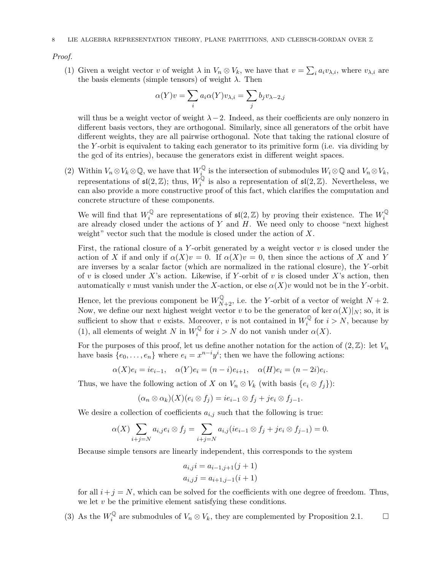*Proof.*

(1) Given a weight vector *v* of weight  $\lambda$  in  $V_n \otimes V_k$ , we have that  $v = \sum_i a_i v_{\lambda,i}$ , where  $v_{\lambda,i}$  are the basis elements (simple tensors) of weight  $\lambda$ . Then

$$
\alpha(Y)v = \sum_{i} a_i \alpha(Y)v_{\lambda,i} = \sum_{j} b_j v_{\lambda-2,j}
$$

will thus be a weight vector of weight  $\lambda$  −2. Indeed, as their coefficients are only nonzero in different basis vectors, they are orthogonal. Similarly, since all generators of the orbit have different weights, they are all pairwise orthogonal. Note that taking the rational closure of the *Y* -orbit is equivalent to taking each generator to its primitive form (i.e. via dividing by the gcd of its entries), because the generators exist in different weight spaces.

(2) Within  $V_n \otimes V_k \otimes \mathbb{Q}$ , we have that  $W_k^{\mathbb{Q}}$  is the intersection of submodules  $W_i \otimes \mathbb{Q}$  and  $V_n \otimes V_k$ , representations of  $\mathfrak{sl}(2,\mathbb{Z})$ ; thus,  $W_i^{\mathbb{Q}}$  is also a representation of  $\mathfrak{sl}(2,\mathbb{Z})$ . Nevertheless, we can also provide a more constructive proof of this fact, which clarifies the computation and concrete structure of these components.

We will find that  $W_i^{\mathbb{Q}}$  are representations of  $\mathfrak{sl}(2,\mathbb{Z})$  by proving their existence. The  $W_i^{\mathbb{Q}}$  are already closed under the actions of Y and H. We need only to choose "next highest" weight" vector such that the module is closed under the action of *X*.

First, the rational closure of a *Y* -orbit generated by a weight vector *v* is closed under the action of *X* if and only if  $\alpha(X)v = 0$ . If  $\alpha(X)v = 0$ , then since the actions of *X* and *Y* are inverses by a scalar factor (which are normalized in the rational closure), the *Y* -orbit of *v* is closed under *X*'s action. Likewise, if *Y* -orbit of *v* is closed under *X*'s action, then automatically *v* must vanish under the *X*-action, or else  $\alpha(X)v$  would not be in the *Y*-orbit.

Hence, let the previous component be  $W_{N+2}^{\mathbb{Q}}$ , i.e. the *Y*-orbit of a vector of weight  $N+2$ . Now, we define our next highest weight vector *v* to be the generator of ker  $\alpha(X)|_N$ ; so, it is sufficient to show that *v* exists. Moreover, *v* is not contained in  $W_i^{\mathbb{Q}}$  for  $i > N$ , because by (1), all elements of weight *N* in  $W_i^{\mathbb{Q}}$  for  $i > N$  do not vanish under  $\alpha(X)$ .

For the purposes of this proof, let us define another notation for the action of  $(2,\mathbb{Z})$ : let  $V_n$ have basis  $\{e_0, \ldots, e_n\}$  where  $e_i = x^{n-i}y^i$ ; then we have the following actions:

 $\alpha(X)e_i = ie_{i-1}, \quad \alpha(Y)e_i = (n-i)e_{i+1}, \quad \alpha(H)e_i = (n-2i)e_i.$ 

Thus, we have the following action of *X* on  $V_n \otimes V_k$  (with basis  $\{e_i \otimes f_j\}$ ):

$$
(\alpha_n \otimes \alpha_k)(X)(e_i \otimes f_j) = ie_{i-1} \otimes f_j + je_i \otimes f_{j-1}.
$$

We desire a collection of coefficients  $a_{i,j}$  such that the following is true:

$$
\alpha(X)\sum_{i+j=N}a_{i,j}e_i\otimes f_j=\sum_{i+j=N}a_{i,j}(ie_{i-1}\otimes f_j+je_i\otimes f_{j-1})=0.
$$

Because simple tensors are linearly independent, this corresponds to the system

$$
a_{i,j}i = a_{i-1,j+1}(j+1)
$$
  

$$
a_{i,j}j = a_{i+1,j-1}(i+1)
$$

for all  $i + j = N$ , which can be solved for the coefficients with one degree of freedom. Thus, we let *v* be the primitive element satisfying these conditions.

(3) As the  $W_i^{\mathbb{Q}}$  are submodules of  $V_n \otimes V_k$ , they are complemented by Proposition 2.1. □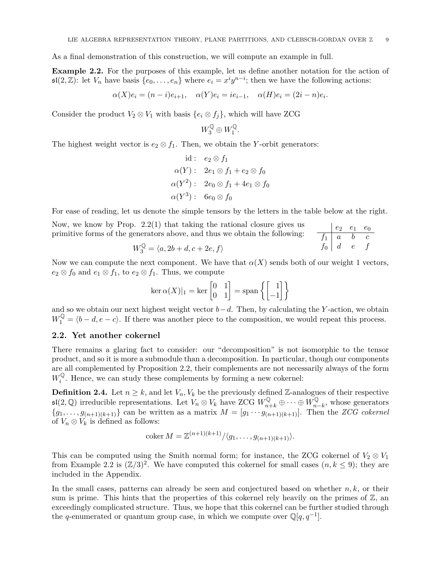As a final demonstration of this construction, we will compute an example in full.

**Example 2.2.** For the purposes of this example, let us define another notation for the action of  $\mathfrak{sl}(2,\mathbb{Z})$ : let  $V_n$  have basis  $\{e_0,\ldots,e_n\}$  where  $e_i = x^i y^{n-i}$ ; then we have the following actions:

$$
\alpha(X)e_i = (n-i)e_{i+1}, \quad \alpha(Y)e_i = ie_{i-1}, \quad \alpha(H)e_i = (2i - n)e_i
$$

Consider the product  $V_2 \otimes V_1$  with basis  $\{e_i \otimes f_j\}$ , which will have ZCG

$$
W_3^{\mathbb{Q}} \oplus W_1^{\mathbb{Q}}.
$$

The highest weight vector is  $e_2 \otimes f_1$ . Then, we obtain the *Y*-orbit generators:

$$
id: e_2 \otimes f_1
$$
  
\n
$$
\alpha(Y): 2e_1 \otimes f_1 + e_2 \otimes f_0
$$
  
\n
$$
\alpha(Y^2): 2e_0 \otimes f_1 + 4e_1 \otimes f_0
$$
  
\n
$$
\alpha(Y^3): 6e_0 \otimes f_0
$$

For ease of reading, let us denote the simple tensors by the letters in the table below at the right.

| Now, we know by Prop. $2.2(1)$ that taking the rational closure gives us   | $\begin{vmatrix} e_2 & e_1 & e_0 \end{vmatrix}$ |  |
|----------------------------------------------------------------------------|-------------------------------------------------|--|
| primitive forms of the generators above, and thus we obtain the following: | $f_1$ a b c                                     |  |

$$
W_3^{\mathbb{Q}} = \langle a, 2b + d, c + 2e, f \rangle \qquad f_0 \mid d \quad e \quad f
$$

*.*

Now we can compute the next component. We have that  $\alpha(X)$  sends both of our weight 1 vectors,  $e_2 \otimes f_0$  and  $e_1 \otimes f_1$ , to  $e_2 \otimes f_1$ . Thus, we compute

$$
\ker \alpha(X)|_1 = \ker \begin{bmatrix} 0 & 1 \\ 0 & 1 \end{bmatrix} = \text{span}\left\{ \begin{bmatrix} 1 \\ -1 \end{bmatrix} \right\}
$$

and so we obtain our next highest weight vector *b−d*. Then, by calculating the *Y* -action, we obtain  $W_1^{\mathbb{Q}} = \langle b - d, e - c \rangle$ . If there was another piece to the composition, we would repeat this process.

#### **2.2. Yet another cokernel**

There remains a glaring fact to consider: our "decomposition" is not isomorphic to the tensor product, and so it is more a submodule than a decomposition. In particular, though our components are all complemented by Proposition 2.2, their complements are not necessarily always of the form  $W_i^{\mathbb{Q}}$ . Hence, we can study these complements by forming a new cokernel:

**Definition 2.4.** Let  $n \geq k$ , and let  $V_n$ ,  $V_k$  be the previously defined Z-analogues of their respective  $\mathfrak{sl}(2,\mathbb{Q})$  irreducible representations. Let  $V_n \otimes V_k$  have ZCG  $W_{n+k}^{\mathbb{Q}} \oplus \cdots \oplus W_{n-k}^{\mathbb{Q}}$ , whose generators  ${g_1, \ldots, g_{(n+1)(k+1)}}$  can be written as a matrix  $M = [g_1 \cdots g_{(n+1)(k+1)}].$  Then the *ZCG cokernel* of  $V_n \otimes V_k$  is defined as follows:

$$
\operatorname{coker} M = \mathbb{Z}^{(n+1)(k+1)}/\langle g_1, \ldots, g_{(n+1)(k+1)}\rangle.
$$

This can be computed using the Smith normal form; for instance, the ZCG cokernel of  $V_2 \otimes V_1$ from Example 2.2 is  $(\mathbb{Z}/3)^2$ . We have computed this cokernel for small cases  $(n, k \leq 9)$ ; they are included in the Appendix.

In the small cases, patterns can already be seen and conjectured based on whether *n, k*, or their sum is prime. This hints that the properties of this cokernel rely heavily on the primes of  $\mathbb{Z}$ , and exceedingly complicated structure. Thus, we hope that this cokernel can be further studied through the *q*-enumerated or quantum group case, in which we compute over  $\mathbb{Q}[q, q^{-1}]$ .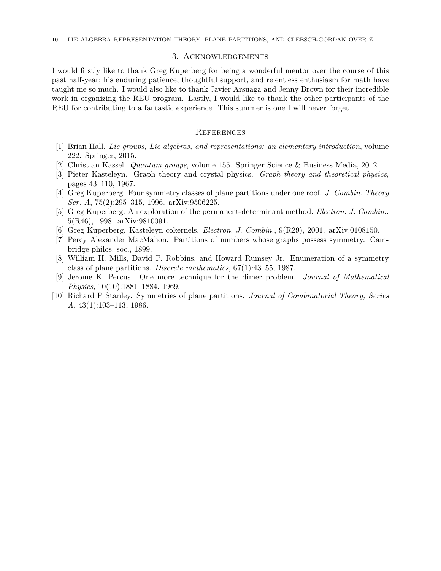#### 3. Acknowledgements

I would firstly like to thank Greg Kuperberg for being a wonderful mentor over the course of this past half-year; his enduring patience, thoughtful support, and relentless enthusiasm for math have taught me so much. I would also like to thank Javier Arsuaga and Jenny Brown for their incredible work in organizing the REU program. Lastly, I would like to thank the other participants of the REU for contributing to a fantastic experience. This summer is one I will never forget.

#### **REFERENCES**

- [1] Brian Hall. *Lie groups, Lie algebras, and representations: an elementary introduction*, volume 222. Springer, 2015.
- [2] Christian Kassel. *Quantum groups*, volume 155. Springer Science & Business Media, 2012.
- [3] Pieter Kasteleyn. Graph theory and crystal physics. *Graph theory and theoretical physics*, pages 43–110, 1967.
- [4] Greg Kuperberg. Four symmetry classes of plane partitions under one roof. *J. Combin. Theory Ser. A*, 75(2):295–315, 1996. arXiv:9506225.
- [5] Greg Kuperberg. An exploration of the permanent-determinant method. *Electron. J. Combin.*, 5(R46), 1998. arXiv:9810091.
- [6] Greg Kuperberg. Kasteleyn cokernels. *Electron. J. Combin.*, 9(R29), 2001. arXiv:0108150.
- [7] Percy Alexander MacMahon. Partitions of numbers whose graphs possess symmetry. Cambridge philos. soc., 1899.
- [8] William H. Mills, David P. Robbins, and Howard Rumsey Jr. Enumeration of a symmetry class of plane partitions. *Discrete mathematics*, 67(1):43–55, 1987.
- [9] Jerome K. Percus. One more technique for the dimer problem. *Journal of Mathematical Physics*, 10(10):1881–1884, 1969.
- [10] Richard P Stanley. Symmetries of plane partitions. *Journal of Combinatorial Theory, Series A*, 43(1):103–113, 1986.